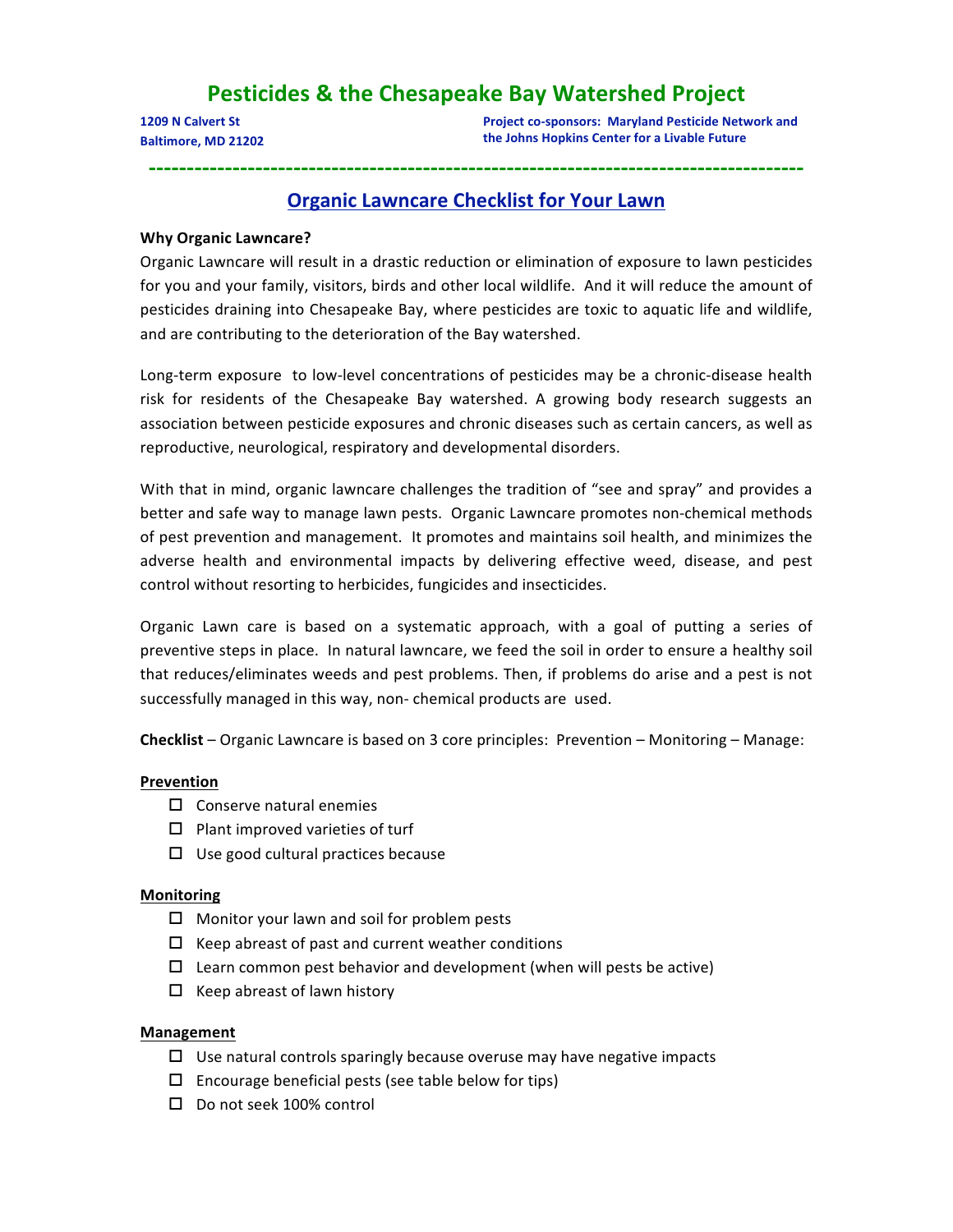# **Pesticides & the Chesapeake Bay Watershed Project**

**1209 N Calvert St Baltimore, MD 21202** **Project co‐sponsors: Maryland Pesticide Network and the Johns Hopkins Center for a Livable Future**

# **Organic Lawncare Checklist for Your Lawn**

**‐‐‐‐‐‐‐‐‐‐‐‐‐‐‐‐‐‐‐‐‐‐‐‐‐‐‐‐‐‐‐‐‐‐‐‐‐‐‐‐‐‐‐‐‐‐‐‐‐‐‐‐‐‐‐‐‐‐‐‐‐‐‐‐‐‐‐‐‐‐‐‐‐‐‐‐‐‐‐‐‐‐‐‐‐‐**

# **Why Organic Lawncare?**

Organic Lawncare will result in a drastic reduction or elimination of exposure to lawn pesticides for you and your family, visitors, birds and other local wildlife. And it will reduce the amount of pesticides draining into Chesapeake Bay, where pesticides are toxic to aquatic life and wildlife, and are contributing to the deterioration of the Bay watershed.

Long-term exposure to low-level concentrations of pesticides may be a chronic-disease health risk for residents of the Chesapeake Bay watershed. A growing body research suggests an association between pesticide exposures and chronic diseases such as certain cancers, as well as reproductive, neurological, respiratory and developmental disorders.

With that in mind, organic lawncare challenges the tradition of "see and spray" and provides a better and safe way to manage lawn pests. Organic Lawncare promotes non-chemical methods of pest prevention and management. It promotes and maintains soil health, and minimizes the adverse health and environmental impacts by delivering effective weed, disease, and pest control without resorting to herbicides, fungicides and insecticides.

Organic Lawn care is based on a systematic approach, with a goal of putting a series of preventive steps in place. In natural lawncare, we feed the soil in order to ensure a healthy soil that reduces/eliminates weeds and pest problems. Then, if problems do arise and a pest is not successfully managed in this way, non‐ chemical products are used.

**Checklist** – Organic Lawncare is based on 3 core principles: Prevention – Monitoring – Manage:

# **Prevention**

- $\square$  Conserve natural enemies
- $\square$  Plant improved varieties of turf
- $\Box$  Use good cultural practices because

### **Monitoring**

- $\Box$  Monitor your lawn and soil for problem pests
- $\Box$  Keep abreast of past and current weather conditions
- $\Box$  Learn common pest behavior and development (when will pests be active)
- $\Box$  Keep abreast of lawn history

### **Management**

- $\Box$  Use natural controls sparingly because overuse may have negative impacts
- $\Box$  Encourage beneficial pests (see table below for tips)
- □ Do not seek 100% control